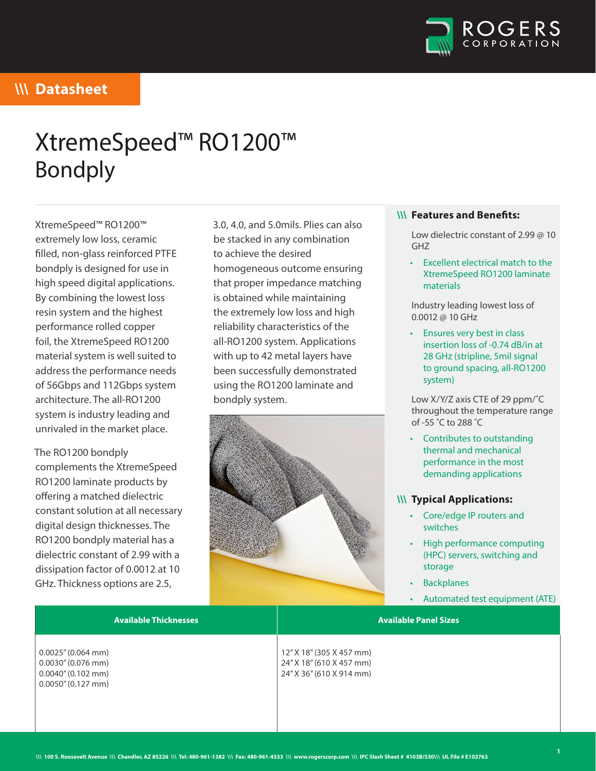

# XtremeSpeed™ RO1200™ Bondply

XtremeSpeed™ RO1200™ extremely low loss, ceramic filled, non-glass reinforced PTFE bondply is designed for use in high speed digital applications. By combining the lowest loss resin system and the highest performance rolled copper foil, the XtremeSpeed RO1200 material system is well suited to address the performance needs of 56Gbps and 112Gbps system architecture. The all-RO1200 system is industry leading and unrivaled in the market place.

The RO1200 bondply complements the XtremeSpeed RO1200 laminate products by offering a matched dielectric constant solution at all necessary digital design thicknesses. The RO1200 bondply material has a dielectric constant of 2.99 with a dissipation factor of 0.0012 at 10 GHz. Thickness options are 2.5,

3.0, 4.0, and 5.0mils. Plies can also be stacked in any combination to achieve the desired homogeneous outcome ensuring that proper impedance matching is obtained while maintaining the extremely low loss and high reliability characteristics of the all-RO1200 system. Applications with up to 42 metal layers have been successfully demonstrated using the RO1200 laminate and bondply system.



#### **\\\ Features and Benefits:**

Low dielectric constant of 2.99 @ 10 GHZ

• Excellent electrical match to the XtremeSpeed RO1200 laminate materials

Industry leading lowest loss of 0.0012 @ 10 GHz

• Ensures very best in class insertion loss of -0.74 dB/in at 28 GHz (stripline, 5mil signal to ground spacing, all-RO1200 system)

Low X/Y/Z axis CTE of 29 ppm/˚C throughout the temperature range of -55 ˚C to 288 ˚C

• Contributes to outstanding thermal and mechanical performance in the most demanding applications

#### **\\\ Typical Applications:**

- Core/edge IP routers and switches
- High performance computing (HPC) servers, switching and storage
- **Backplanes**
- Automated test equipment (ATE)

**Available Thicknesses Available Panel Sizes** 0.0025" (0.064 mm) 0.0030" (0.076 mm) 0.0040" (0.102 mm) 0.0050" (0.127 mm) 12" X 18" (305 X 457 mm) 24" X 18" (610 X 457 mm) 24" X 36" (610 X 914 mm)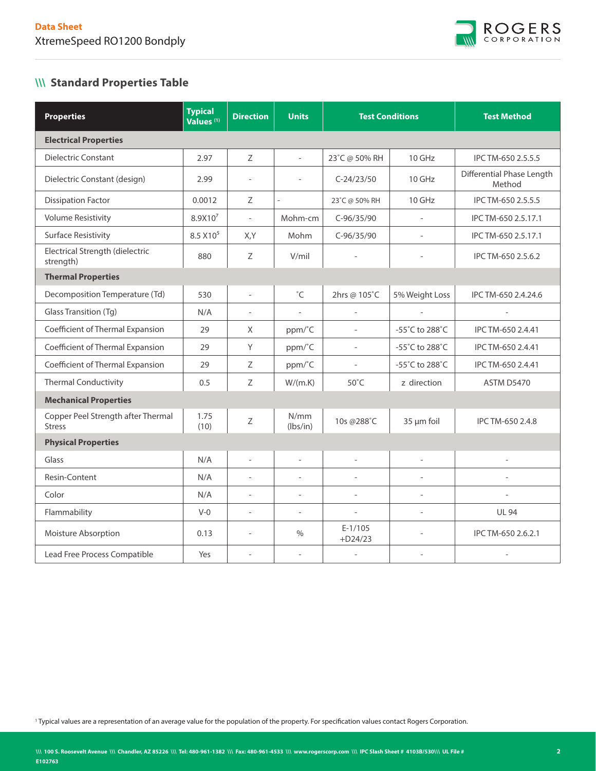

### **\\\ Standard Properties Table**

| <b>Properties</b>                                   | <b>Typical</b><br>Values <sup>(1)</sup> | <b>Direction</b>         | <b>Units</b>             |                          | <b>Test Conditions</b>   | <b>Test Method</b>                  |  |  |  |  |  |
|-----------------------------------------------------|-----------------------------------------|--------------------------|--------------------------|--------------------------|--------------------------|-------------------------------------|--|--|--|--|--|
| <b>Electrical Properties</b>                        |                                         |                          |                          |                          |                          |                                     |  |  |  |  |  |
| Dielectric Constant                                 | 2.97                                    | Ζ                        | $\overline{\phantom{0}}$ | 23°C @ 50% RH            | 10 GHz                   | IPC TM-650 2.5.5.5                  |  |  |  |  |  |
| Dielectric Constant (design)                        | 2.99                                    | $\overline{a}$           |                          | $C-24/23/50$             | $10$ GHz                 | Differential Phase Length<br>Method |  |  |  |  |  |
| <b>Dissipation Factor</b>                           | 0.0012                                  | Ζ                        | $\overline{a}$           | 23°C @ 50% RH            | 10 GHz                   | IPC TM-650 2.5.5.5                  |  |  |  |  |  |
| <b>Volume Resistivity</b>                           | 8.9X10 <sup>7</sup>                     | $\overline{a}$           | Mohm-cm                  | $C-96/35/90$             | $\overline{\phantom{a}}$ | IPC TM-650 2.5.17.1                 |  |  |  |  |  |
| <b>Surface Resistivity</b>                          | 8.5 X10 <sup>5</sup>                    | X,Y                      | Mohm                     | $C-96/35/90$             |                          | IPC TM-650 2.5.17.1                 |  |  |  |  |  |
| Electrical Strength (dielectric<br>strength)        | 880                                     | Ζ                        | V/mil                    |                          |                          | IPC TM-650 2.5.6.2                  |  |  |  |  |  |
| <b>Thermal Properties</b>                           |                                         |                          |                          |                          |                          |                                     |  |  |  |  |  |
| Decomposition Temperature (Td)                      | 530                                     | $\overline{\phantom{a}}$ | $^{\circ}$ C             | 2hrs @ 105°C             | 5% Weight Loss           | IPC TM-650 2.4.24.6                 |  |  |  |  |  |
| Glass Transition (Tg)                               | N/A                                     | $\overline{\phantom{a}}$ | $\overline{\phantom{a}}$ | $\overline{a}$           | $\overline{\phantom{a}}$ | $\overline{\phantom{a}}$            |  |  |  |  |  |
| Coefficient of Thermal Expansion                    | 29                                      | X                        | ppm/°C                   | $\overline{\phantom{0}}$ | -55°C to 288°C           | IPC TM-650 2.4.41                   |  |  |  |  |  |
| Coefficient of Thermal Expansion                    | 29                                      | Y                        | ppm/°C                   | $\overline{a}$           | -55°C to 288°C           | IPC TM-650 2.4.41                   |  |  |  |  |  |
| Coefficient of Thermal Expansion                    | 29                                      | Ζ                        | ppm/°C                   | $\overline{a}$           | -55°C to 288°C           | IPC TM-650 2.4.41                   |  |  |  |  |  |
| <b>Thermal Conductivity</b>                         | 0.5                                     | $\mathsf Z$              | W/(m.K)                  | $50^{\circ}$ C           | z direction              | <b>ASTM D5470</b>                   |  |  |  |  |  |
| <b>Mechanical Properties</b>                        |                                         |                          |                          |                          |                          |                                     |  |  |  |  |  |
| Copper Peel Strength after Thermal<br><b>Stress</b> | 1.75<br>(10)                            | $\mathsf Z$              | N/mm<br>(lbs/in)         | 10s @288°C               | 35 µm foil               | IPC TM-650 2.4.8                    |  |  |  |  |  |
| <b>Physical Properties</b>                          |                                         |                          |                          |                          |                          |                                     |  |  |  |  |  |
| Glass                                               | N/A                                     | $\overline{a}$           | $\overline{a}$           | $\overline{a}$           | $\overline{a}$           | $\overline{a}$                      |  |  |  |  |  |
| Resin-Content                                       | N/A                                     | $\overline{a}$           | L.                       |                          |                          |                                     |  |  |  |  |  |
| Color                                               | N/A                                     | $\overline{\phantom{a}}$ |                          | $\overline{a}$           |                          |                                     |  |  |  |  |  |
| Flammability                                        | $V-0$                                   | $\overline{a}$           |                          | $\overline{a}$           |                          | <b>UL 94</b>                        |  |  |  |  |  |
| Moisture Absorption                                 | 0.13                                    | $\overline{a}$           | $\frac{0}{0}$            | $E-1/105$<br>$+D24/23$   | $\overline{\phantom{a}}$ | IPC TM-650 2.6.2.1                  |  |  |  |  |  |
| Lead Free Process Compatible                        | Yes                                     | $\overline{a}$           |                          | $\overline{a}$           | $\overline{\phantom{a}}$ | $\overline{\phantom{a}}$            |  |  |  |  |  |

1 Typical values are a representation of an average value for the population of the property. For specification values contact Rogers Corporation.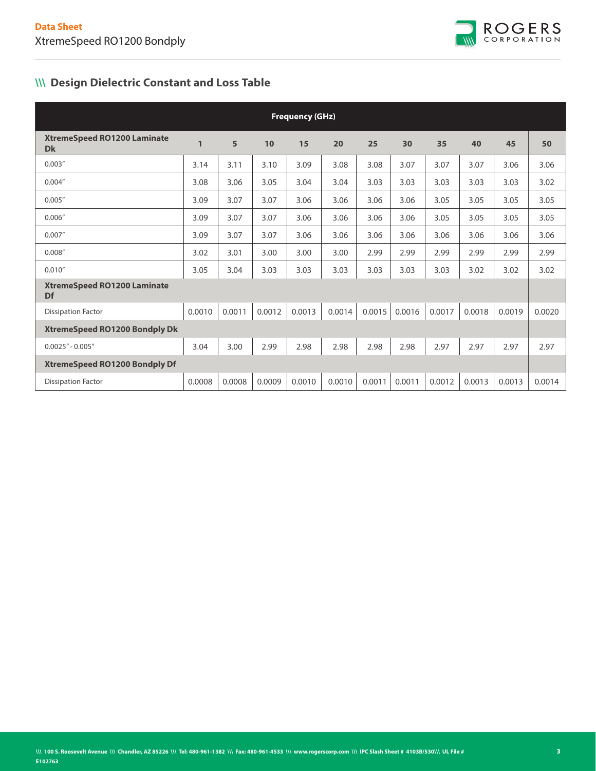

## **\\\ Design Dielectric Constant and Loss Table**

| <b>Frequency (GHz)</b>                          |              |        |        |        |        |        |        |        |        |        |        |  |
|-------------------------------------------------|--------------|--------|--------|--------|--------|--------|--------|--------|--------|--------|--------|--|
| <b>XtremeSpeed RO1200 Laminate</b><br><b>Dk</b> | $\mathbf{1}$ | 5      | 10     | 15     | 20     | 25     | 30     | 35     | 40     | 45     | 50     |  |
| 0.003''                                         | 3.14         | 3.11   | 3.10   | 3.09   | 3.08   | 3.08   | 3.07   | 3.07   | 3.07   | 3.06   | 3.06   |  |
| 0.004''                                         | 3.08         | 3.06   | 3.05   | 3.04   | 3.04   | 3.03   | 3.03   | 3.03   | 3.03   | 3.03   | 3.02   |  |
| 0.005''                                         | 3.09         | 3.07   | 3.07   | 3.06   | 3.06   | 3.06   | 3.06   | 3.05   | 3.05   | 3.05   | 3.05   |  |
| 0.006''                                         | 3.09         | 3.07   | 3.07   | 3.06   | 3.06   | 3.06   | 3.06   | 3.05   | 3.05   | 3.05   | 3.05   |  |
| 0.007''                                         | 3.09         | 3.07   | 3.07   | 3.06   | 3.06   | 3.06   | 3.06   | 3.06   | 3.06   | 3.06   | 3.06   |  |
| 0.008''                                         | 3.02         | 3.01   | 3.00   | 3.00   | 3.00   | 2.99   | 2.99   | 2.99   | 2.99   | 2.99   | 2.99   |  |
| 0.010''                                         | 3.05         | 3.04   | 3.03   | 3.03   | 3.03   | 3.03   | 3.03   | 3.03   | 3.02   | 3.02   | 3.02   |  |
| <b>XtremeSpeed RO1200 Laminate</b><br>Df        |              |        |        |        |        |        |        |        |        |        |        |  |
| <b>Dissipation Factor</b>                       | 0.0010       | 0.0011 | 0.0012 | 0.0013 | 0.0014 | 0.0015 | 0.0016 | 0.0017 | 0.0018 | 0.0019 | 0.0020 |  |
| <b>XtremeSpeed RO1200 Bondply Dk</b>            |              |        |        |        |        |        |        |        |        |        |        |  |
| $0.0025" - 0.005"$                              | 3.04         | 3.00   | 2.99   | 2.98   | 2.98   | 2.98   | 2.98   | 2.97   | 2.97   | 2.97   | 2.97   |  |
| <b>XtremeSpeed RO1200 Bondply Df</b>            |              |        |        |        |        |        |        |        |        |        |        |  |
| <b>Dissipation Factor</b>                       | 0.0008       | 0.0008 | 0.0009 | 0.0010 | 0.0010 | 0.0011 | 0.0011 | 0.0012 | 0.0013 | 0.0013 | 0.0014 |  |